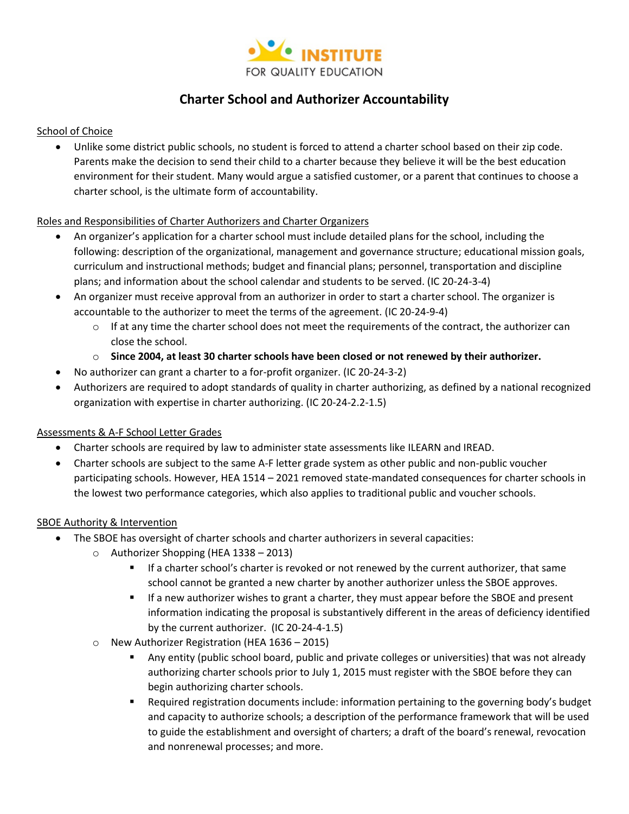

# **Charter School and Authorizer Accountability**

#### School of Choice

• Unlike some district public schools, no student is forced to attend a charter school based on their zip code. Parents make the decision to send their child to a charter because they believe it will be the best education environment for their student. Many would argue a satisfied customer, or a parent that continues to choose a charter school, is the ultimate form of accountability.

#### Roles and Responsibilities of Charter Authorizers and Charter Organizers

- An organizer's application for a charter school must include detailed plans for the school, including the following: description of the organizational, management and governance structure; educational mission goals, curriculum and instructional methods; budget and financial plans; personnel, transportation and discipline plans; and information about the school calendar and students to be served. (IC 20-24-3-4)
- An organizer must receive approval from an authorizer in order to start a charter school. The organizer is accountable to the authorizer to meet the terms of the agreement. (IC 20-24-9-4)
	- $\circ$  If at any time the charter school does not meet the requirements of the contract, the authorizer can close the school.
	- o **Since 2004, at least 30 charter schools have been closed or not renewed by their authorizer.**
- No authorizer can grant a charter to a for-profit organizer. (IC 20-24-3-2)
- Authorizers are required to adopt standards of quality in charter authorizing, as defined by a national recognized organization with expertise in charter authorizing. (IC 20-24-2.2-1.5)

## Assessments & A-F School Letter Grades

- Charter schools are required by law to administer state assessments like ILEARN and IREAD.
- Charter schools are subject to the same A-F letter grade system as other public and non-public voucher participating schools. However, HEA 1514 – 2021 removed state-mandated consequences for charter schools in the lowest two performance categories, which also applies to traditional public and voucher schools.

## SBOE Authority & Intervention

- The SBOE has oversight of charter schools and charter authorizers in several capacities:
	- o Authorizer Shopping (HEA 1338 2013)
		- If a charter school's charter is revoked or not renewed by the current authorizer, that same school cannot be granted a new charter by another authorizer unless the SBOE approves.
		- **■** If a new authorizer wishes to grant a charter, they must appear before the SBOE and present information indicating the proposal is substantively different in the areas of deficiency identified by the current authorizer. (IC 20-24-4-1.5)
	- o New Authorizer Registration (HEA 1636 2015)
		- Any entity (public school board, public and private colleges or universities) that was not already authorizing charter schools prior to July 1, 2015 must register with the SBOE before they can begin authorizing charter schools.
		- Required registration documents include: information pertaining to the governing body's budget and capacity to authorize schools; a description of the performance framework that will be used to guide the establishment and oversight of charters; a draft of the board's renewal, revocation and nonrenewal processes; and more.